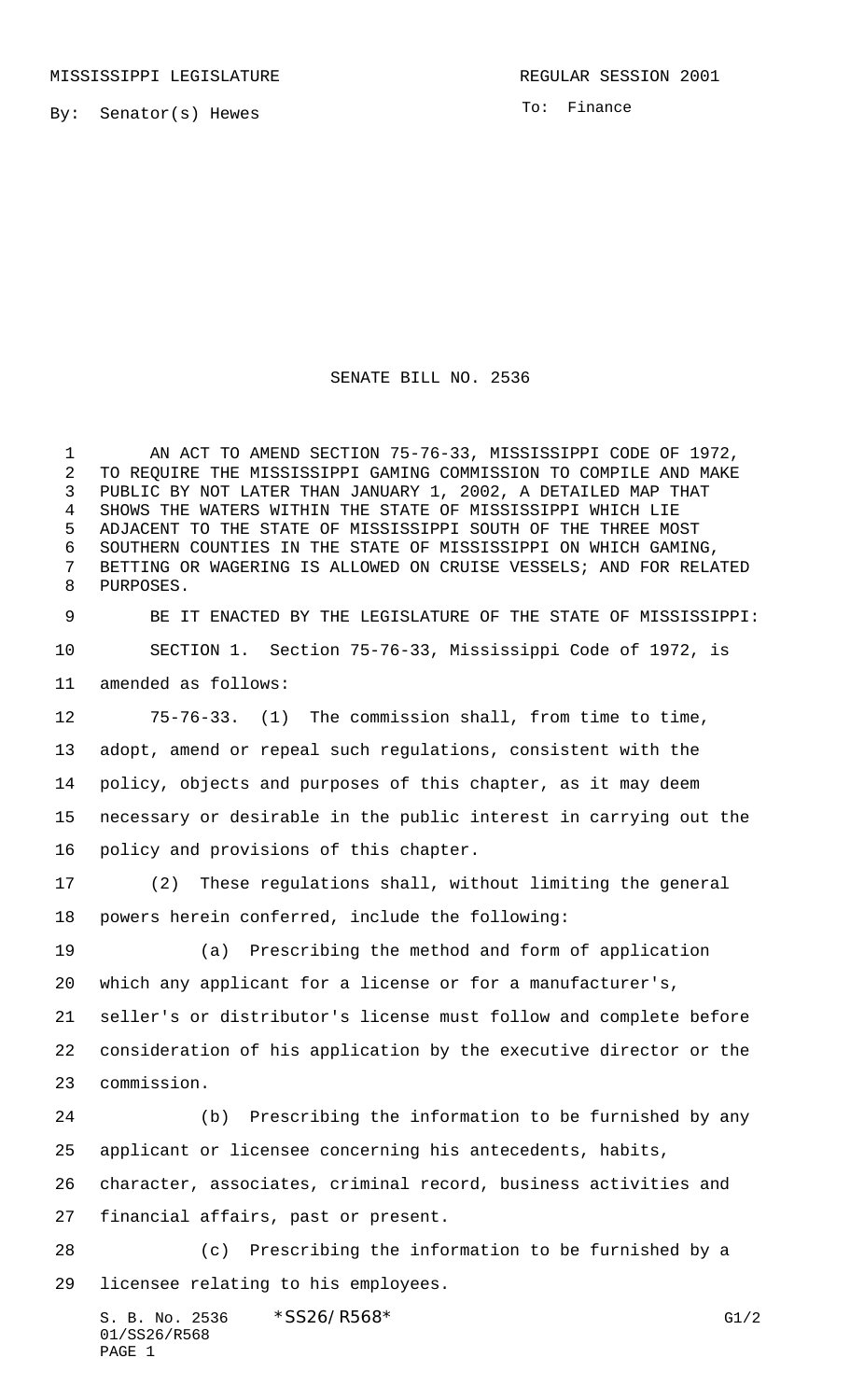By: Senator(s) Hewes

To: Finance

## SENATE BILL NO. 2536

 AN ACT TO AMEND SECTION 75-76-33, MISSISSIPPI CODE OF 1972, TO REQUIRE THE MISSISSIPPI GAMING COMMISSION TO COMPILE AND MAKE PUBLIC BY NOT LATER THAN JANUARY 1, 2002, A DETAILED MAP THAT SHOWS THE WATERS WITHIN THE STATE OF MISSISSIPPI WHICH LIE ADJACENT TO THE STATE OF MISSISSIPPI SOUTH OF THE THREE MOST SOUTHERN COUNTIES IN THE STATE OF MISSISSIPPI ON WHICH GAMING, BETTING OR WAGERING IS ALLOWED ON CRUISE VESSELS; AND FOR RELATED PURPOSES.

 BE IT ENACTED BY THE LEGISLATURE OF THE STATE OF MISSISSIPPI: SECTION 1. Section 75-76-33, Mississippi Code of 1972, is amended as follows:

 75-76-33. (1) The commission shall, from time to time, adopt, amend or repeal such regulations, consistent with the policy, objects and purposes of this chapter, as it may deem necessary or desirable in the public interest in carrying out the policy and provisions of this chapter.

 (2) These regulations shall, without limiting the general powers herein conferred, include the following:

 (a) Prescribing the method and form of application which any applicant for a license or for a manufacturer's, seller's or distributor's license must follow and complete before consideration of his application by the executive director or the commission.

 (b) Prescribing the information to be furnished by any applicant or licensee concerning his antecedents, habits,

character, associates, criminal record, business activities and

financial affairs, past or present.

 (c) Prescribing the information to be furnished by a licensee relating to his employees.

S. B. No. 2536  $*SS26/RS68*$  G1/2 01/SS26/R568 PAGE 1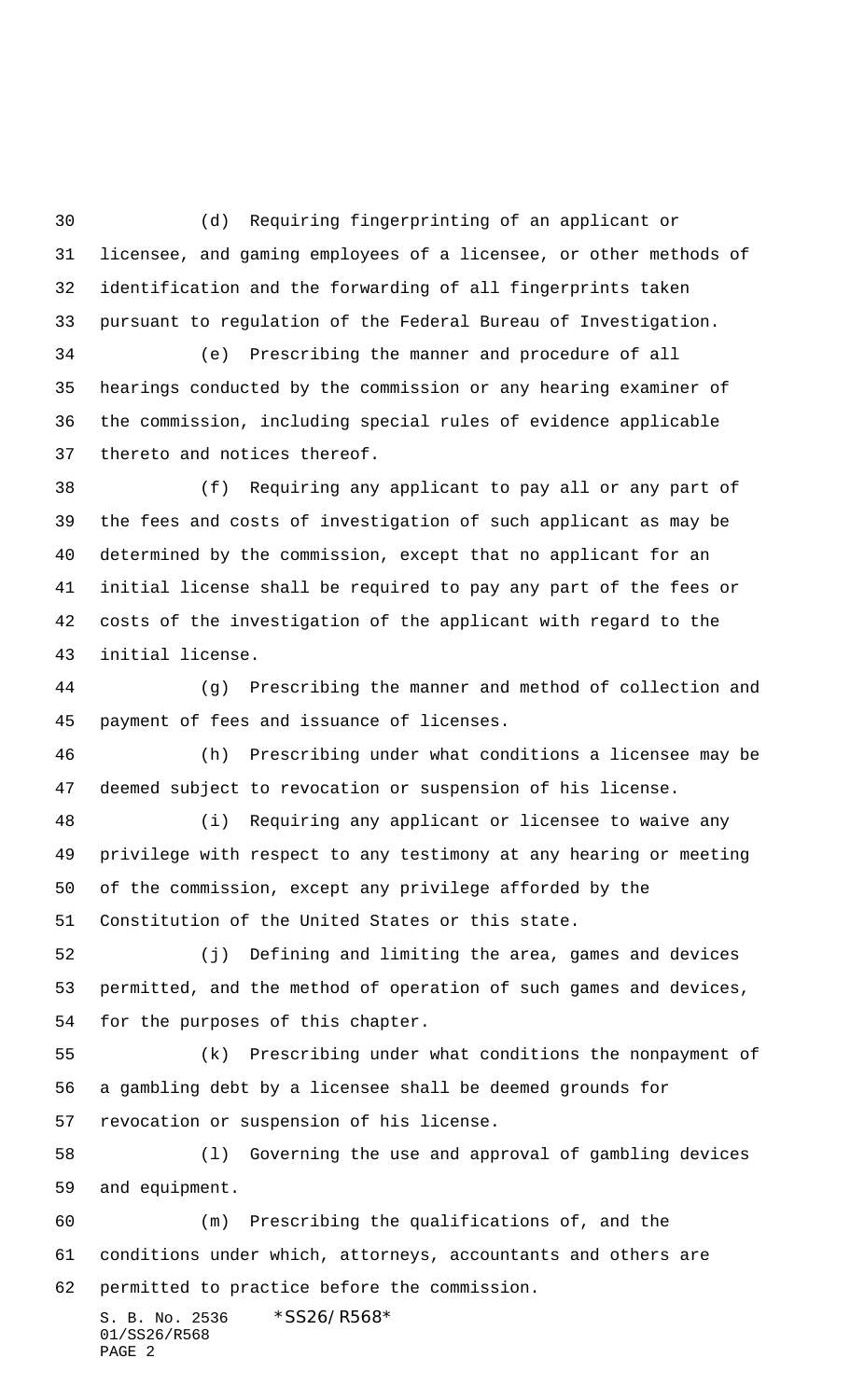(d) Requiring fingerprinting of an applicant or licensee, and gaming employees of a licensee, or other methods of identification and the forwarding of all fingerprints taken pursuant to regulation of the Federal Bureau of Investigation.

 (e) Prescribing the manner and procedure of all hearings conducted by the commission or any hearing examiner of the commission, including special rules of evidence applicable thereto and notices thereof.

 (f) Requiring any applicant to pay all or any part of the fees and costs of investigation of such applicant as may be determined by the commission, except that no applicant for an initial license shall be required to pay any part of the fees or costs of the investigation of the applicant with regard to the initial license.

 (g) Prescribing the manner and method of collection and payment of fees and issuance of licenses.

 (h) Prescribing under what conditions a licensee may be deemed subject to revocation or suspension of his license.

 (i) Requiring any applicant or licensee to waive any privilege with respect to any testimony at any hearing or meeting of the commission, except any privilege afforded by the Constitution of the United States or this state.

 (j) Defining and limiting the area, games and devices permitted, and the method of operation of such games and devices, for the purposes of this chapter.

 (k) Prescribing under what conditions the nonpayment of a gambling debt by a licensee shall be deemed grounds for revocation or suspension of his license.

 (l) Governing the use and approval of gambling devices and equipment.

 (m) Prescribing the qualifications of, and the conditions under which, attorneys, accountants and others are permitted to practice before the commission.

S. B. No. 2536 \*SS26/R568\* 01/SS26/R568 PAGE 2